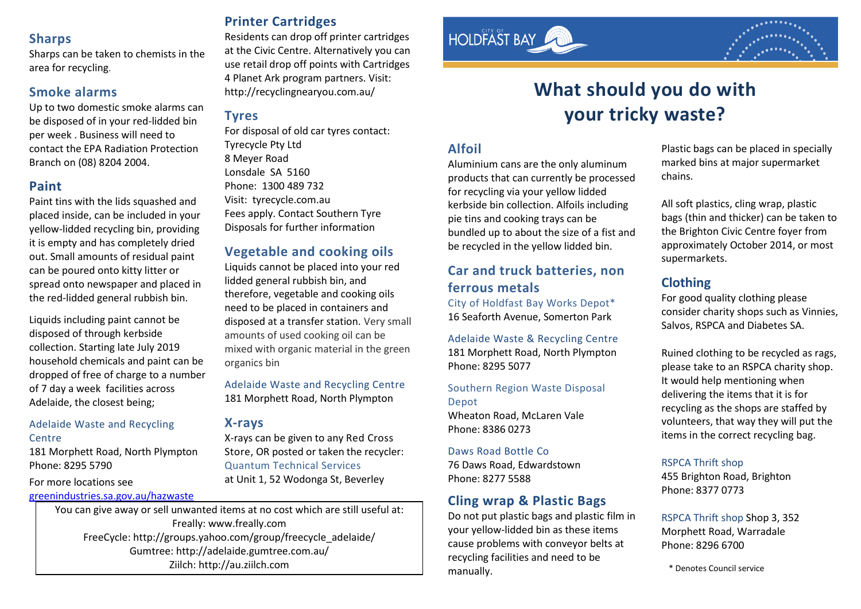### **Sharps**

Sharps can be taken to chemists in the area for recycling.

### **Smoke alarms**

Up to two domestic smoke alarms can be disposed of in your red-lidded bin per week . Business will need to contact the EPA Radiation Protection Branch on (08) 8204 2004.

### **Paint**

Paint tins with the lids squashed and placed inside, can be included in your yellow-lidded recycling bin, providing it is empty and has completely dried out. Small amounts of residual paint can be poured onto kitty litter or spread onto newspaper and placed in the red-lidded general rubbish bin.

Liquids including paint cannot be disposed of through kerbside collection. Starting late July 2019 household chemicals and paint can be dropped of free of charge to a number of 7 day a week facilities across Adelaide, the closest being;

#### Adelaide Waste and Recycling **Centre**

181 Morphett Road, North Plympton Phone: 8295 5790

For more locations see

#### [greenindustries.sa.gov.au/hazwaste](https://www.greenindustries.sa.gov.au/hazwaste)

# **Printer Cartridges**

Residents can drop off printer cartridges at the Civic Centre. Alternatively you can use retail drop off points with Cartridges 4 Planet Ark program partners. Visit: <http://recyclingnearyou.com.au/>

### **Tyres**

For disposal of old car tyres contact: Tyrecycle Pty Ltd 8 Meyer Road Lonsdale SA 5160 Phone: 1300 489 732 Visit: tyrecycle.com.au Fees apply. Contact Southern Tyre Disposals for further information

### **Vegetable and cooking oils**

Liquids cannot be placed into your red lidded general rubbish bin, and therefore, vegetable and cooking oils need to be placed in containers and disposed at a transfer station. Very small amounts of used cooking oil can be mixed with organic material in the green organics bin

Adelaide Waste and Recycling Centre 181 Morphett Road, North Plympton

### **X-rays**

X-rays can be given to any Red Cross Store, OR posted or taken the recycler: Quantum Technical Services at Unit 1, 52 Wodonga St, Beverley

You can give away or sell unwanted items at no cost which are still useful at: Freally: www.freally.com FreeCycle: http://groups.yahoo.com/group/freecycle\_adelaide/ Gumtree: http://adelaide.gumtree.com.au/ Ziilch: http://au.ziilch.com \* Denotes Council service



# **What should you do with your tricky waste?**

### **Alfoil**

Aluminium cans are the only aluminum products that can currently be processed for recycling via your yellow lidded kerbside bin collection. Alfoils including pie tins and cooking trays can be bundled up to about the size of a fist and be recycled in the yellow lidded bin.

# **Car and truck batteries, non ferrous metals**

City of Holdfast Bay Works Depot\* 16 Seaforth Avenue, Somerton Park

Adelaide Waste & Recycling Centre 181 Morphett Road, North Plympton Phone: 8295 5077

Southern Region Waste Disposal Depot Wheaton Road, McLaren Vale

Phone: 8386 0273

#### Daws Road Bottle Co

76 Daws Road, Edwardstown Phone: 8277 5588

### **Cling wrap & Plastic Bags**

Do not put plastic bags and plastic film in your yellow-lidded bin as these items cause problems with conveyor belts at recycling facilities and need to be manually.

Plastic bags can be placed in specially marked bins at major supermarket chains.

All soft plastics, cling wrap, plastic bags (thin and thicker) can be taken to the Brighton Civic Centre foyer from approximately October 2014, or most supermarkets.

# **Clothing**

For good quality clothing please consider charity shops such as Vinnies, Salvos, RSPCA and Diabetes SA.

Ruined clothing to be recycled as rags, please take to an RSPCA charity shop. It would help mentioning when delivering the items that it is for recycling as the shops are staffed by volunteers, that way they will put the items in the correct recycling bag.

#### RSPCA Thrift shop

455 Brighton Road, Brighton Phone: 8377 0773

RSPCA Thrift shop Shop 3, 352 Morphett Road, Warradale Phone: 8296 6700